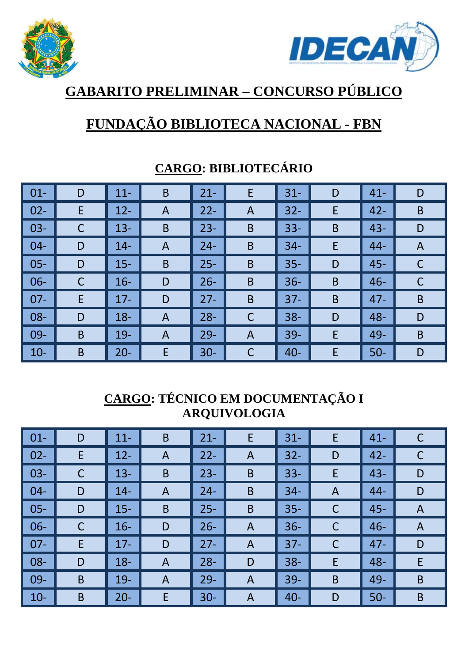



# **GABARITO PRELIMINAR – CONCURSO PÚBLICO**

## **FUNDAÇÃO BIBLIOTECA NACIONAL - FBN**

| $01 -$ | D            | $11 -$ | $\mathsf B$    | $21 -$ | E              | $31 -$ | D           | $41 -$ | D           |
|--------|--------------|--------|----------------|--------|----------------|--------|-------------|--------|-------------|
| $02 -$ | E            | $12 -$ | A              | $22 -$ | $\overline{A}$ | $32 -$ | E           | $42 -$ | $\mathsf B$ |
| $03 -$ | $\mathsf{C}$ | $13 -$ | $\mathsf B$    | $23 -$ | B              | $33 -$ | B           | $43 -$ | D           |
| $04 -$ | D            | $14 -$ | A              | $24 -$ | B              | $34 -$ | E           | 44-    | A           |
| $05 -$ | D            | $15 -$ | $\mathsf B$    | $25 -$ | $\mathsf B$    | $35 -$ | D           | $45 -$ | C           |
| 06-    | $\mathsf{C}$ | $16 -$ | D              | $26 -$ | $\mathsf B$    | $36 -$ | $\mathsf B$ | $46 -$ | $\mathsf C$ |
| $07 -$ | E            | $17 -$ | D              | $27 -$ | B              | $37 -$ | $\mathsf B$ | $47 -$ | B           |
| 08-    | D            | $18 -$ | A              | $28 -$ | $\mathsf C$    | $38 -$ | D           | 48-    | D           |
| 09-    | B            | $19 -$ | $\overline{A}$ | $29 -$ | $\overline{A}$ | $39 -$ | E           | 49-    | $\mathsf B$ |
| $10-$  | B            | $20 -$ | E              | $30 -$ | C              | $40 -$ | E           | $50-$  | D           |

### **CARGO: BIBLIOTECÁRIO**

### **CARGO: TÉCNICO EM DOCUMENTAÇÃO I ARQUIVOLOGIA**

| $\vert$ 01-     | D           | $11 -$ | B | $21 -$ | E              | $31 -$ | E | $41 -$ | $\mathsf C$ |
|-----------------|-------------|--------|---|--------|----------------|--------|---|--------|-------------|
| $\vert$ 02-     | E           | $12 -$ | A | $22 -$ | $\mathsf{A}$   | $32 -$ | D | $42 -$ |             |
| $\parallel$ 03- | $\mathsf C$ | $13 -$ | B | $23 -$ | B              | $33 -$ | E | $43 -$ | D           |
| $\vert$ 04-     | D           | $14 -$ | A | $24 -$ | $\mathsf B$    | $34 -$ | A | $44 -$ | D           |
| $\vert$ 05-     | D           | $15 -$ | B | $25 -$ | B              | $35 -$ | C | $45 -$ | A           |
| $\vert$ 06-     | $\mathsf C$ | $16-$  | D | $26 -$ | $\mathsf{A}$   | $36 -$ | C | $46 -$ | A           |
| $\parallel$ 07- | E           | $17 -$ | D | $27 -$ | $\overline{A}$ | $37 -$ | С | $47 -$ | D           |
| $\vert$ 08-     | D           | $18 -$ | A | $28 -$ | D              | $38 -$ | E | 48-    | E           |
| $\parallel$ 09- | $\mathsf B$ | $19 -$ | A | $29 -$ | A              | $39 -$ | B | 49-    | B           |
| $\vert$ 10-     | B           | $20 -$ | E | $30 -$ | A              | $40 -$ | D | $50-$  | B           |